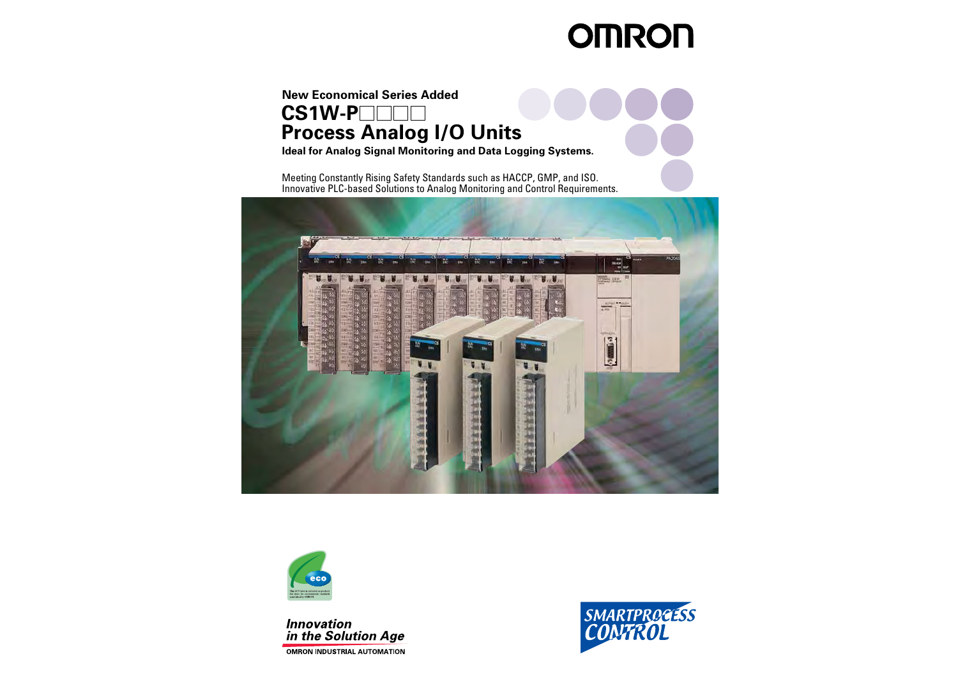# **OMRON**

### **New Economical Series Added**

## **CS1W-P Process Analog I/O Units**

**Ideal for Analog Signal Monitoring and Data Logging Systems.**

Meeting Constantly Rising Safety Standards such as HACCP, GMP, and ISO. Innovative PLC-based Solutions to Analog Monitoring and Control Requirements.







**OMRON INDUSTRIAL AUTOMATION** 

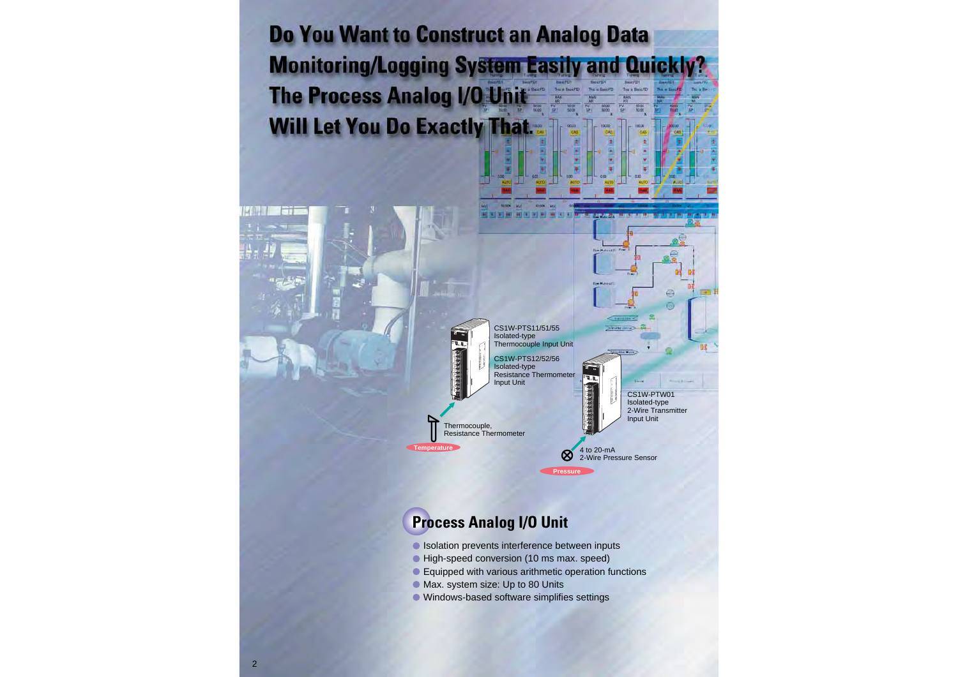### **Do You Want to Construct an Analog Data Monitoring/Logging System Easily Quickly? The Process Analog I/O Unit Will Let You Do Exactly That.** CAS **CAS DATE** ¥ Ŧ



z

٠

¥

**Startup and you** 

ian.

ŷл

٠

as.  $B<sub>2</sub>$ O3 **FW** 

۰

τ

SOOR NU

1000% HV

**ALCOHOL: ALCOHOL: ALCOHOL: ALCOHOL: ALCOHOL: ALCOHOL: ALCOHOL: ALCOHOL: ALCOHOL: ALCOHOL: ALCOHOL: ALCOHOL: ALCOHOL: ALCOHOL: ALCOHOL: ALCOHOL: ALCOHOL: ALCOHOL: ALCOHOL: ALCOHOL: ALCOHOL: ALCOHOL: ALCOHOL: ALCOHOL: ALCOH** 

## **Process Analog I/O Unit**

- Isolation prevents interference between inputs
- High-speed conversion (10 ms max. speed)
- Equipped with various arithmetic operation functions
- **Max. system size: Up to 80 Units**
- Windows-based software simplifies settings

**MAN**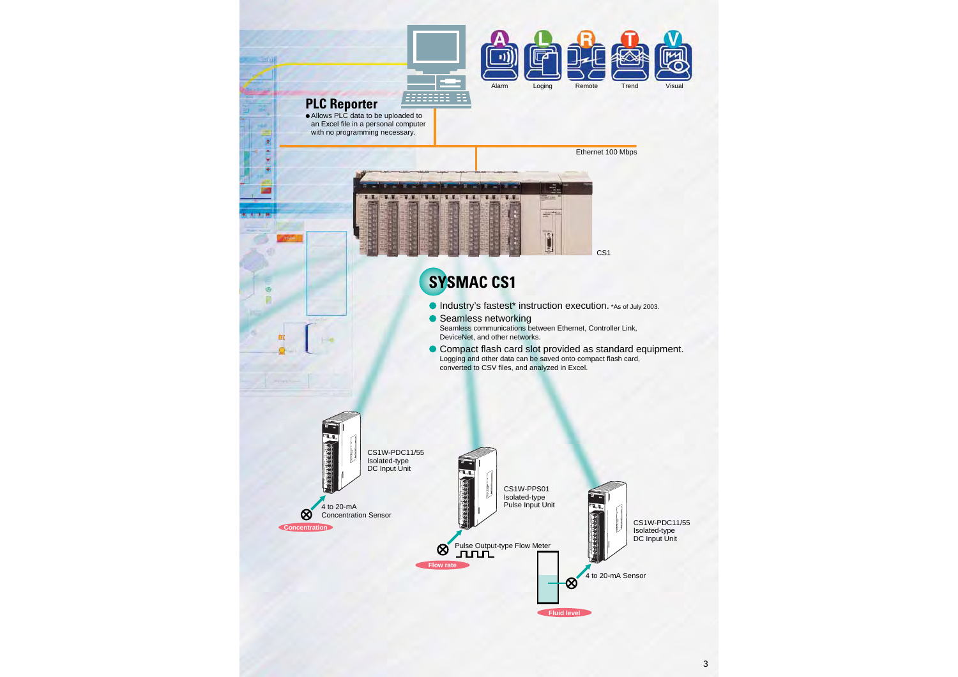

### **PLC Reporter**

and said

 $\circ$ П Allows PLC data to be uploaded to an Excel file in a personal computer with no programming necessary.

*EEEEEEEEE* 

ΞĖ

Ethernet 100 Mbps

CS1

## **SYSMAC CS1**

**Industry's fastest\* instruction execution. \*As of July 2003.** 

当

Ē

- Seamless networking Seamless communications between Ethernet, Controller Link, DeviceNet, and other networks.
- Compact flash card slot provided as standard equipment. Logging and other data can be saved onto compact flash card, converted to CSV files, and analyzed in Excel.

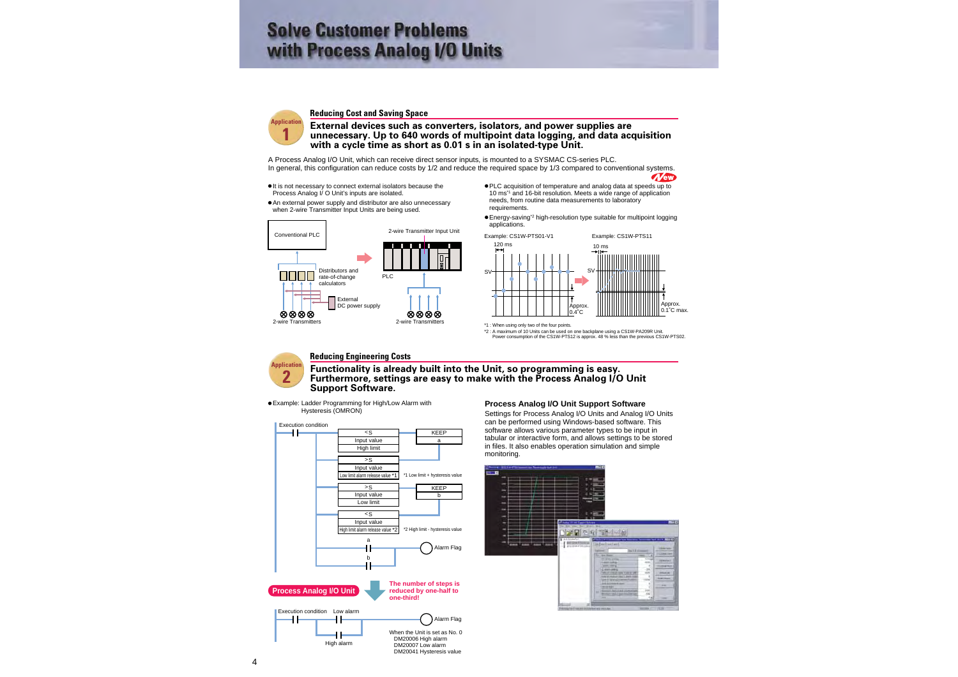## **Solve Customer Problems with Process Analog I/O Units**



#### **Reducing Cost and Saving Space**

#### **External devices such as converters, isolators, and power supplies are unnecessary. Up to 640 words of multipoint data logging, and data acquisition with a cycle time as short as 0.01 s in an isolated-type Unit.**

A Process Analog I/O Unit, which can receive direct sensor inputs, is mounted to a SYSMAC CS-series PLC. In general, this configuration can reduce costs by 1/2 and reduce the required space by 1/3 compared to conventional systems.

- $\bullet$  It is not necessary to connect external isolators because the Process Analog I/ O Unit's inputs are isolated.
- An external power supply and distributor are also unnecessary when 2-wire Transmitter Input Units are being used.



- Wew PLC acquisition of temperature and analog data at speeds up to 10 ms\*1 and 16-bit resolution. Meets a wide range of application needs, from routine data measurements to laboratory requirements.
- Energy-saving\*2 high-resolution type suitable for multipoint logging applications.



<sup>\*1 :</sup> When using only two of the four points.

\*2 : A maximum of 10 Units can be used on one backplane using a CS1W-PA209R Unit. Power consumption of the CS1W-PTS12 is approx. 48 % less than the previous CS1W-PTS02.

## **Application 2**

#### **Reducing Engineering Costs**

#### **Functionality is already built into the Unit, so programming is easy. Furthermore, settings are easy to make with the Process Analog I/O Unit Support Software.**

Example: Ladder Programming for High/Low Alarm with Hysteresis (OMRON)



#### **Process Analog I/O Unit Support Software**

Settings for Process Analog I/O Units and Analog I/O Units can be performed using Windows-based software. This software allows various parameter types to be input in tabular or interactive form, and allows settings to be stored in files. It also enables operation simulation and simple monitoring.

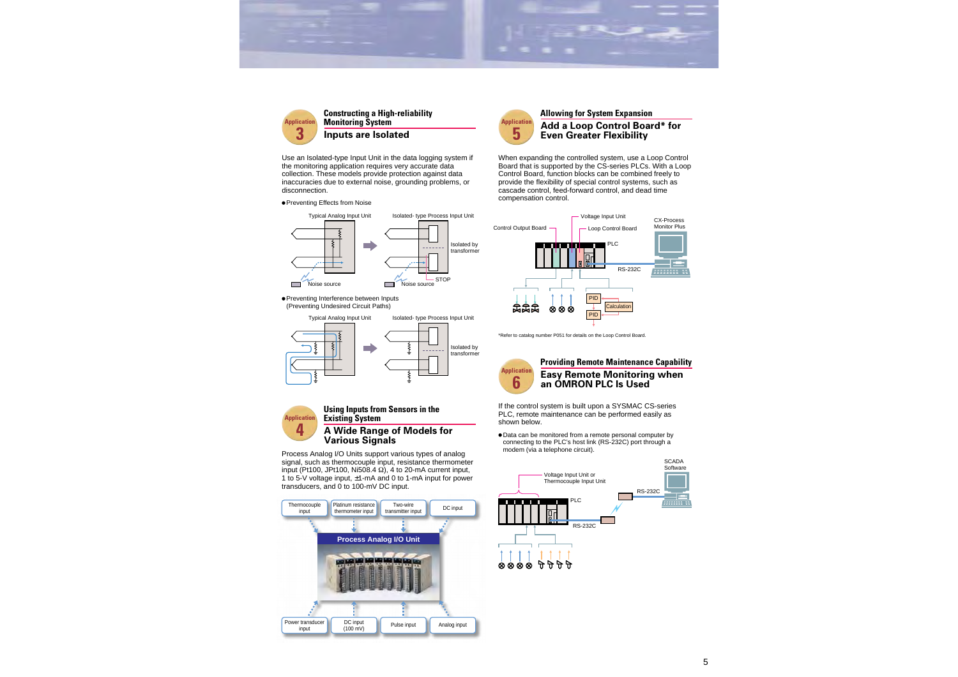

#### **Constructing a High-reliability Allowing for System Expansion Monitoring System Inputs are Isolated**

Use an Isolated-type Input Unit in the data logging system if the monitoring application requires very accurate data collection. These models provide protection against data inaccuracies due to external noise, grounding problems, or disconnection.

#### Preventing Effects from Noise



Preventing Interference between Inputs (Preventing Undesired Circuit Paths)





#### **Using Inputs from Sensors in the Existing System**

#### **A Wide Range of Models for Various Signals**

Process Analog I/O Units support various types of analog signal, such as thermocouple input, resistance thermometer input (Pt100, JPt100, Ni508.4  $\Omega$ ), 4 to 20-mA current input, 1 to 5-V voltage input, ±1-mA and 0 to 1-mA input for power transducers, and 0 to 100-mV DC input.





### **Add a Loop Control Board\* for Even Greater Flexibility**

When expanding the controlled system, use a Loop Control Board that is supported by the CS-series PLCs. With a Loop Control Board, function blocks can be combined freely to provide the flexibility of special control systems, such as cascade control, feed-forward control, and dead time compensation control.



\*Refer to catalog number P051 for details on the Loop Control Board.



#### **Providing Remote Maintenance Capability Easy Remote Monitoring when an OMRON PLC Is Used**

If the control system is built upon a SYSMAC CS-series PLC, remote maintenance can be performed easily as shown below.

Data can be monitored from a remote personal computer by connecting to the PLC's host link (RS-232C) port through a modem (via a telephone circuit).

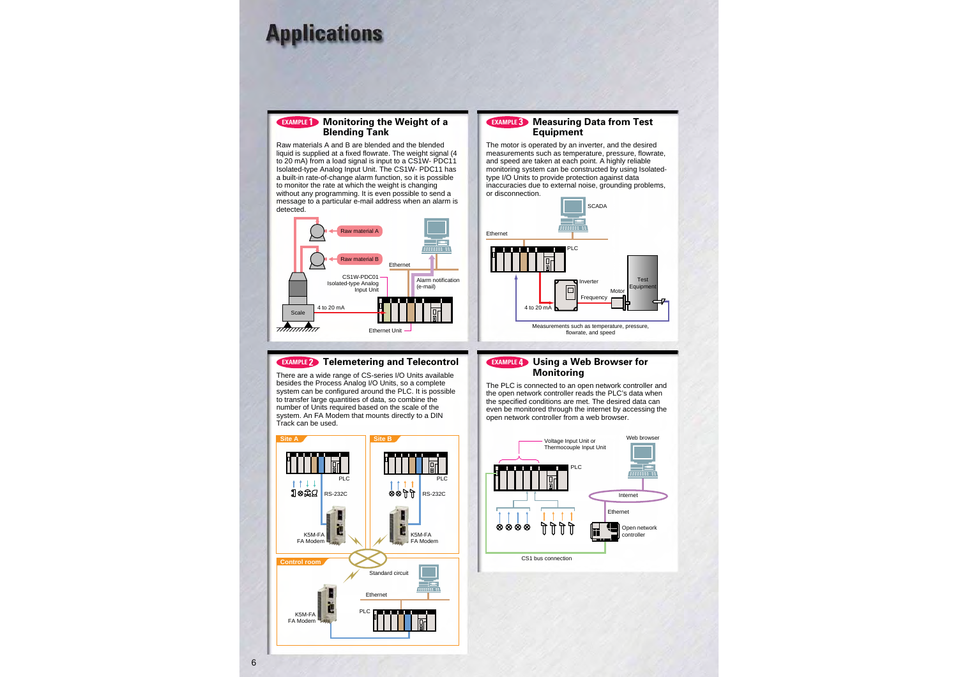## **Applications**

#### **EXAMPLE 1 Monitoring the Weight of a Blending Tank**

Raw materials A and B are blended and the blended liquid is supplied at a fixed flowrate. The weight signal (4 to 20 mA) from a load signal is input to a CS1W- PDC11 Isolated-type Analog Input Unit. The CS1W- PDC11 has a built-in rate-of-change alarm function, so it is possible to monitor the rate at which the weight is changing without any programming. It is even possible to send a message to a particular e-mail address when an alarm is detected.



#### **EXAMPLE2 Telemetering and Telecontrol <b>EXAMPLE4** Using a Web Browser for

There are a wide range of CS-series I/O Units available besides the Process Analog I/O Units, so a complete system can be configured around the PLC. It is possible to transfer large quantities of data, so combine the number of Units required based on the scale of the system. An FA Modem that mounts directly to a DIN Track can be used.



#### **EXAMPLE 3 Measuring Data from Test Equipment**

The motor is operated by an inverter, and the desired measurements such as temperature, pressure, flowrate, and speed are taken at each point. A highly reliable monitoring system can be constructed by using Isolatedtype I/O Units to provide protection against data inaccuracies due to external noise, grounding problems, or disconnection.



## **Monitoring**

The PLC is connected to an open network controller and the open network controller reads the PLC's data when the specified conditions are met. The desired data can even be monitored through the internet by accessing the open network controller from a web browser.

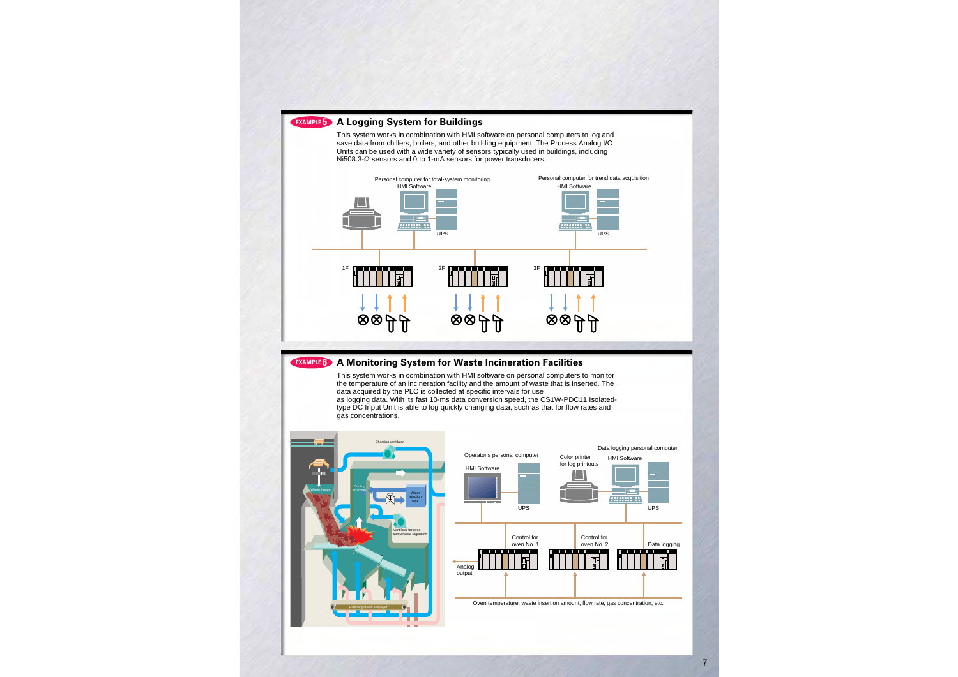

#### **EXAMPLE 6** A Monitoring System for Waste Incineration Facilities

This system works in combination with HMI software on personal computers to monitor the temperature of an incineration facility and the amount of waste that is inserted. The data acquired by the PLC is collected at specific intervals for use as logging data. With its fast 10-ms data conversion speed, the CS1W-PDC11 Isolatedtype DC Input Unit is able to log quickly changing data, such as that for flow rates and gas concentrations.





7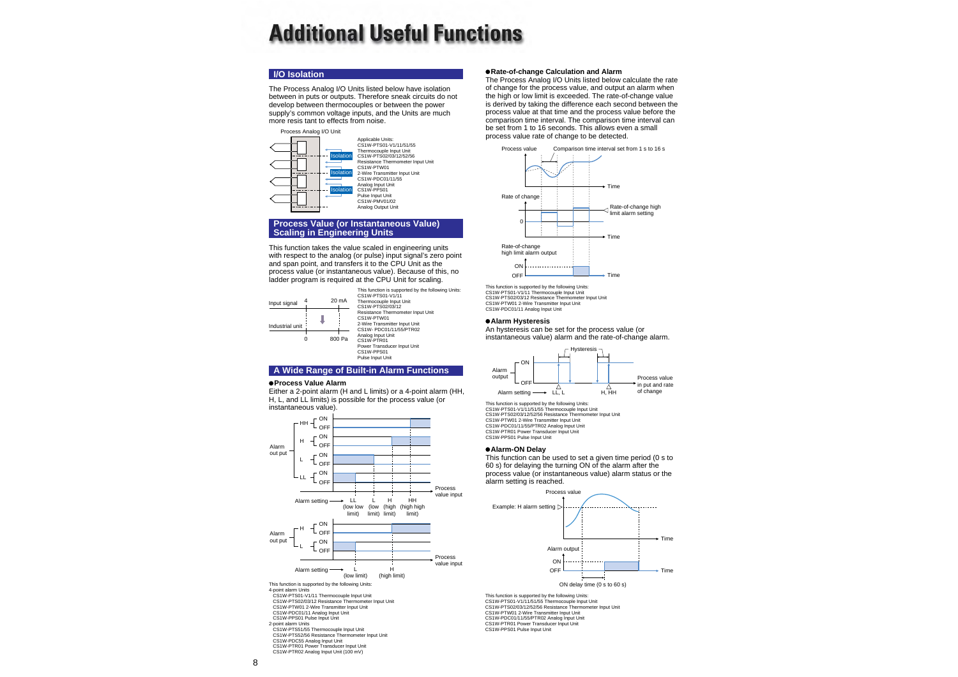# **Additional Useful Functions**

#### **I/O Isolation**

The Process Analog I/O Units listed below have isolation between in puts or outputs. Therefore sneak circuits do not develop between thermocouples or between the power supply's common voltage inputs, and the Units are much more resis tant to effects from noise.



Applicable Units: CS1W-PTS01-V1/11/51/55 Thermocouple Input Unit CS1W-PTS02/03/12/52/56 Resistance Thermometer Input Unit CS1W-PTW01 2-Wire Transmitter Input Unit CS1W-PDC01/11/55 Analog Input Unit CS1W-PPS01 Pulse Input Unit CS1W-PMV01/02 Analog Output Unit

#### **Process Value (or Instantaneous Value) Scaling in Engineering Units**

This function takes the value scaled in engineering units with respect to the analog (or pulse) input signal's zero point and span point, and transfers it to the CPU Unit as the process value (or instantaneous value). Because of this, no ladder program is required at the CPU Unit for scaling.



#### **A Wide Range of Built-in Alarm Functions**

#### **Process Value Alarm**

Either a 2-point alarm (H and L limits) or a 4-point alarm (HH, H, L, and LL limits) is possible for the process value (or instantaneous value).



#### CS1W-PTR01 Power Transducer Input Unit CS1W-PTR02 Analog Input Unit (100 mV)

#### **Rate-of-change Calculation and Alarm**

The Process Analog I/O Units listed below calculate the rate of change for the process value, and output an alarm when the high or low limit is exceeded. The rate-of-change value is derived by taking the difference each second between the process value at that time and the process value before the comparison time interval. The comparison time interval can be set from 1 to 16 seconds. This allows even a small process value rate of change to be detected.



This function is supported by the following Units: CS1W-PTS01-V1/11 Thermocouple Input Unit CS1W-PTS02/03/12 Resistance Thermometer Input Unit CS1W-PTW01 2-Wire Transmitter Input Unit CS1W-PDC01/11 Analog Input Unit

#### **Alarm Hysteresis**

An hysteresis can be set for the process value (or instantaneous value) alarm and the rate-of-change alarm.



This function is supported by the following Units: CS1W-PTS01-V1/11/51/55 Thermocouple Input Unit CS1W-PTS02/03/12/52/56 Resistance Thermometer Input Unit CS1W-PTW01 2-Wire Transmitter Input Unit CS1W-PDC01/11/55/PTR02 Analog Input Unit CS1W-PTR01 Power Transducer Input Unit

CS1W-PPS01 Pulse Input Unit

#### **Alarm-ON Delay**

This function can be used to set a given time period (0 s to 60 s) for delaying the turning ON of the alarm after the process value (or instantaneous value) alarm status or the alarm setting is reached.



This function is supported by the following Units: CS1W-PTS01-V1/11/51/55 Thermocouple Input Unit CS1W-PTS02/03/12/52/56 Resistance Thermometer Input Unit CS1W-PTW01 2-Wire Transmitter Input Unit CS1W-PDC01/11/55/PTR02 Analog Input Unit CS1W-PTR01 Power Transducer Input Unit CS1W-PPS01 Pulse Input Unit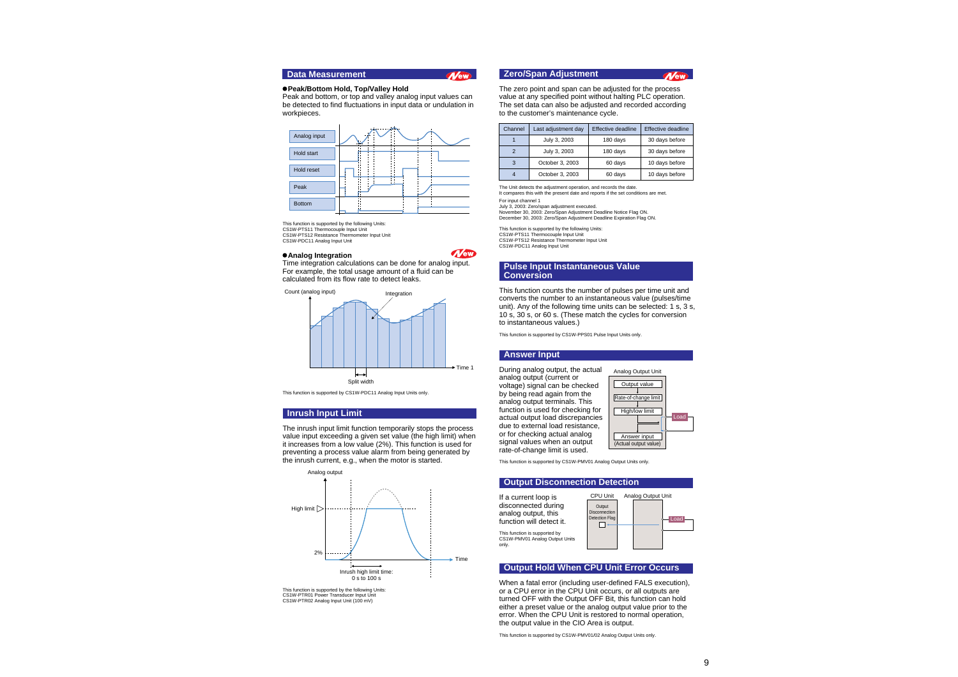#### **Data Measurement**

**New** 

#### **Peak/Bottom Hold, Top/Valley Hold**

Peak and bottom, or top and valley analog input values can be detected to find fluctuations in input data or undulation in workpieces.



This function is supported by the following Units: CS1W-PTS11 Thermocouple Input Unit CS1W-PTS12 Resistance Thermometer Input Unit CS1W-PDC11 Analog Input Unit

#### **Analog Integration**

Time integration calculations can be done for analog input. For example, the total usage amount of a fluid can be calculated from its flow rate to detect leaks.



This function is supported by CS1W-PDC11 Analog Input Units only.

#### **Inrush Input Limit**

The inrush input limit function temporarily stops the process value input exceeding a given set value (the high limit) when it increases from a low value (2%). This function is used for preventing a process value alarm from being generated by the inrush current, e.g., when the motor is started.



This function is supported by the following Units: CS1W-PTR01 Power Transducer Input Unit CS1W-PTR02 Analog Input Unit (100 mV)

#### **Zero/Span Adjustment**

The zero point and span can be adjusted for the process value at any specified point without halting PLC operation. The set data can also be adjusted and recorded according to the customer's maintenance cycle.

**New** 

| Channel       | Last adjustment day | Effective deadline | Effective deadline |
|---------------|---------------------|--------------------|--------------------|
|               | July 3, 2003        | 180 days           | 30 days before     |
| $\mathcal{P}$ | July 3, 2003        | 180 days           | 30 days before     |
| 3             | October 3, 2003     | 60 days            | 10 days before     |
|               | October 3, 2003     | 60 days            | 10 days before     |

The Unit detects the adjustment operation, and records the date. It compares this with the present date and reports if the set conditions are met.

For input channel 1

July 3, 2003: Zero/span adjustment executed. November 30, 2003: Zero/Span Adjustment Deadline Notice Flag ON. December 30, 2003: Zero/Span Adjustment Deadline Expiration Flag ON.

This function is supported by the following Units: CS1W-PTS11 Thermocouple Input Unit CS1W-PTS12 Resistance Thermometer Input Unit CS1W-PDC11 Analog Input Unit

#### **Pulse Input Instantaneous Value Conversion**

This function counts the number of pulses per time unit and converts the number to an instantaneous value (pulses/time unit). Any of the following time units can be selected: 1 s, 3 s, 10 s, 30 s, or 60 s. (These match the cycles for conversion to instantaneous values.)

This function is supported by CS1W-PPS01 Pulse Input Units only.

#### **Answer Input**

During analog output, the actual analog output (current or voltage) signal can be checked by being read again from the analog output terminals. This function is used for checking for actual output load discrepancies due to external load resistance, or for checking actual analog signal values when an output rate-of-change limit is used.



This function is supported by CS1W-PMV01 Analog Output Units only.

#### **Output Disconnection Detection**

If a current loop is disconnected during analog output, this function will detect it.

This function is supported by CS1W-PMV01 Analog Output Units only.



#### **Output Hold When CPU Unit Error Occurs**

When a fatal error (including user-defined FALS execution), or a CPU error in the CPU Unit occurs, or all outputs are turned OFF with the Output OFF Bit, this function can hold either a preset value or the analog output value prior to the error. When the CPU Unit is restored to normal operation, the output value in the CIO Area is output.

This function is supported by CS1W-PMV01/02 Analog Output Units only.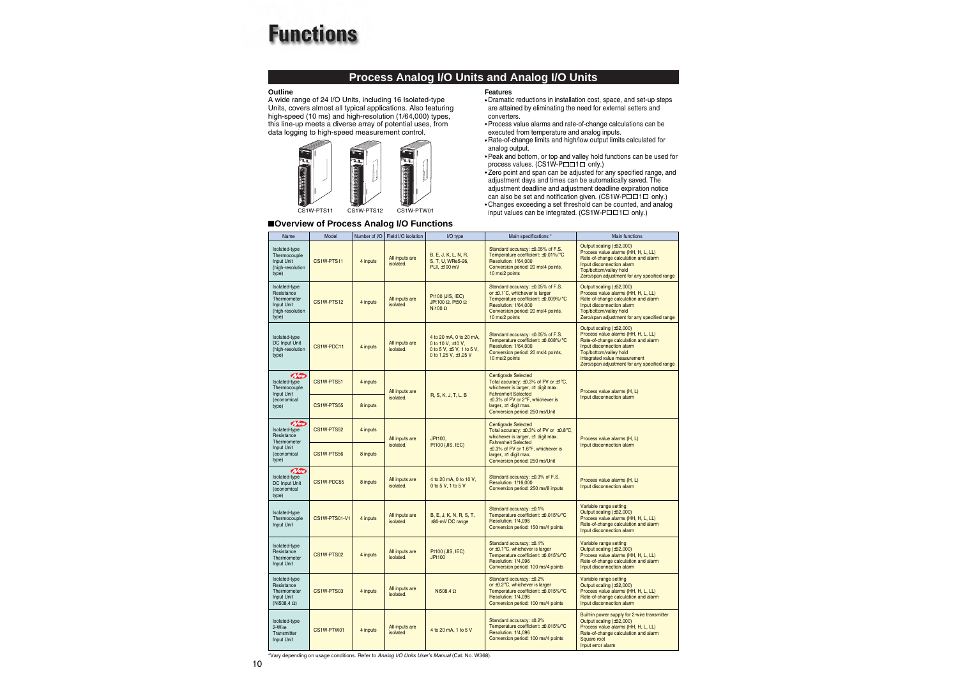# **Functions**

### **Process Analog I/O Units and Analog I/O Units**

#### **Outline**

A wide range of 24 I/O Units, including 16 Isolated-type Units, covers almost all typical applications. Also featuring high-speed (10 ms) and high-resolution (1/64,000) types, this line-up meets a diverse array of potential uses, from data logging to high-speed measurement control.





CS1W-PTS11

#### ■Overview of Process Analog I/O Functions

**Features**

- Dramatic reductions in installation cost, space, and set-up steps are attained by eliminating the need for external setters and converters.
- Process value alarms and rate-of-change calculations can be executed from temperature and analog inputs.
- Rate-of-change limits and high/low output limits calculated for analog output.
- Peak and bottom, or top and valley hold functions can be used for process values. (CS1W-P $\Box$ 1 $\Box$  only.)
- Zero point and span can be adjusted for any specified range, and adjustment days and times can be automatically saved. The adjustment deadline and adjustment deadline expiration notice can also be set and notification given. (CS1W-P $\square\square$ 1  $\square$  only.)
- Changes exceeding a set threshold can be counted, and analog  $CS1W-PTW01$  input values can be integrated.  $(CS1W-P\square\square1\square$  only.)

| Name                                                                                  | Model         | Number of I/O | Field I/O isolation         | I/O type                                                                                                    | Main specifications *                                                                                                                                                                             | Main functions                                                                                                                                                                                                                                 |                                                          |
|---------------------------------------------------------------------------------------|---------------|---------------|-----------------------------|-------------------------------------------------------------------------------------------------------------|---------------------------------------------------------------------------------------------------------------------------------------------------------------------------------------------------|------------------------------------------------------------------------------------------------------------------------------------------------------------------------------------------------------------------------------------------------|----------------------------------------------------------|
| Isolated-type<br>Thermocouple<br>Input Unit<br>(high-resolution<br>type)              | CS1W-PTS11    | 4 inputs      | All inputs are<br>isolated. | B, E, J, K, L, N, R,<br>S. T. U. WRe5-26.<br>PLII, ±100 mV                                                  | Standard accuracy: ±0.05% of F.S.<br>Temperature coefficient: ±0.01%/°C<br>Resolution: 1/64,000<br>Conversion period: 20 ms/4 points,<br>10 ms/2 points                                           | Output scaling (±32,000)<br>Process value alarms (HH, H, L, LL)<br>Rate-of-change calculation and alarm<br>Input disconnection alarm<br>Top/bottom/valley hold<br>Zero/span adjustment for any specified range                                 |                                                          |
| Isolated-type<br>Resistance<br>Thermometer<br>Input Unit<br>(high-resolution<br>type) | CS1W-PTS12    | 4 inputs      | All inputs are<br>isolated. | Pt100 (JIS, IEC)<br>JPt100 Ω, Pt50 Ω<br>Ni100 $\Omega$                                                      | Standard accuracy: ±0.05% of F.S.<br>or ±0.1°C, whichever is larger<br>Temperature coefficient: ±0.009%/°C<br><b>Resolution: 1/64,000</b><br>Conversion period: 20 ms/4 points,<br>10 ms/2 points | Output scaling (±32,000)<br>Process value alarms (HH, H, L, LL)<br>Rate-of-change calculation and alarm<br>Input disconnection alarm<br>Top/bottom/valley hold<br>Zero/span adjustment for any specified range                                 |                                                          |
| Isolated-type<br>DC Input Unit<br>(high-resolution<br>type)                           | CS1W-PDC11    | 4 inputs      | All inputs are<br>isolated. | 4 to 20 mA, 0 to 20 mA,<br>0 to 10 V, $\pm$ 10 V,<br>0 to 5 V, $\pm$ 5 V, 1 to 5 V,<br>0 to 1.25 V, ±1.25 V | Standard accuracy: ±0.05% of F.S.<br>Temperature coefficient: ±0.008%/°C<br><b>Resolution: 1/64,000</b><br>Conversion period: 20 ms/4 points,<br>10 ms/2 points                                   | Output scaling (±32,000)<br>Process value alarms (HH, H, L, LL)<br>Rate-of-change calculation and alarm<br>Input disconnection alarm<br>Top/bottom/valley hold<br>Integrated value measurement<br>Zero/span adjustment for any specified range |                                                          |
| <b>Tew</b><br>Isolated-type<br>Thermocouple<br><b>Input Unit</b><br>(economical       | CS1W-PTS51    | 4 inputs      | All inputs are<br>isolated. | R, S, K, J, T, L, B                                                                                         | <b>Centigrade Selected</b><br>Total accuracy: $\pm 0.3\%$ of PV or $\pm 1\degree$ C,<br>whichever is larger, $±1$ digit max.<br><b>Fahrenheit Selected</b><br>±0.3% of PV or 2°F, whichever is    | Process value alarms (H, L)<br>Input disconnection alarm                                                                                                                                                                                       |                                                          |
| type)                                                                                 | CS1W-PTS55    | 8 inputs      |                             |                                                                                                             | larger, ±1 digit max.<br>Conversion period: 250 ms/Unit                                                                                                                                           |                                                                                                                                                                                                                                                |                                                          |
| <b>TAW</b><br>Isolated-type<br>Resistance<br>Thermometer                              | CS1W-PTS52    | 4 inputs      | All inputs are              | isolated.                                                                                                   | JPt100,<br>Pt100 (JIS, IEC)                                                                                                                                                                       | <b>Centigrade Selected</b><br>Total accuracy: $\pm 0.3\%$ of PV or $\pm 0.8\degree$ C,<br>whichever is larger, $±1$ digit max.<br><b>Fahrenheit Selected</b>                                                                                   | Process value alarms (H, L)<br>Input disconnection alarm |
| Input Unit<br>(economical<br>type)                                                    | CS1W-PTS56    | 8 inputs      |                             |                                                                                                             | ±0.3% of PV or 1.6°F, whichever is<br>larger, ±1 digit max.<br>Conversion period: 250 ms/Unit                                                                                                     |                                                                                                                                                                                                                                                |                                                          |
| <b>TAW</b><br>Isolated-type<br>DC Input Unit<br>(economical<br>type)                  | CS1W-PDC55    | 8 inputs      | All inputs are<br>isolated. | 4 to 20 mA, 0 to 10 V,<br>0 to 5 V, 1 to 5 V                                                                | Standard accuracy: ±0.3% of F.S.<br><b>Resolution: 1/16,000</b><br>Conversion period: 250 ms/8 inputs                                                                                             | Process value alarms (H, L)<br>Input disconnection alarm                                                                                                                                                                                       |                                                          |
| Isolated-type<br>Thermocouple<br>Input Unit                                           | CS1W-PTS01-V1 | 4 inputs      | All inputs are<br>isolated. | B, E, J, K, N, R, S, T,<br>$±80-mV$ DC range                                                                | Standard accuracy: ±0.1%<br>Temperature coefficient: ±0.015%/°C<br>Resolution: 1/4,096<br>Conversion period: 150 ms/4 points                                                                      | Variable range setting<br>Output scaling (±32,000)<br>Process value alarms (HH, H, L, LL)<br>Rate-of-change calculation and alarm<br>Input disconnection alarm                                                                                 |                                                          |
| Isolated-type<br>Resistance<br>Thermometer<br>Input Unit                              | CS1W-PTS02    | 4 inputs      | All inputs are<br>isolated. | Pt100 (JIS, IEC)<br><b>JPt100</b>                                                                           | Standard accuracy: ±0.1%<br>or ±0.1°C, whichever is larger<br>Temperature coefficient: ±0.015%/°C<br>Resolution: 1/4,096<br>Conversion period: 100 ms/4 points                                    | Variable range setting<br>Output scaling (±32,000)<br>Process value alarms (HH, H, L, LL)<br>Rate-of-change calculation and alarm<br>Input disconnection alarm                                                                                 |                                                          |
| Isolated-type<br>Resistance<br>Thermometer<br>Input Unit<br>(Ni508.4 $\Omega$ )       | CS1W-PTS03    | 4 inputs      | All inputs are<br>isolated. | Ni508.4 $\Omega$                                                                                            | Standard accuracy: ±0.2%<br>or ±0.2°C, whichever is larger<br>Temperature coefficient: ±0.015%/°C<br>Resolution: 1/4,096<br>Conversion period: 100 ms/4 points                                    | Variable range setting<br>Output scaling (±32,000)<br>Process value alarms (HH, H, L, LL)<br>Rate-of-change calculation and alarm<br>Input disconnection alarm                                                                                 |                                                          |
| Isolated-type<br>2-Wire<br>Transmitter<br>Input Unit                                  | CS1W-PTW01    | 4 inputs      | All inputs are<br>isolated. | 4 to 20 mA, 1 to 5 V                                                                                        | Standard accuracy: ±0.2%<br>Temperature coefficient: ±0.015%/°C<br>Resolution: 1/4.096<br>Conversion period: 100 ms/4 points                                                                      | Built-in power supply for 2-wire transmitter<br>Output scaling (±32,000)<br>Process value alarms (HH, H, L, LL)<br>Rate-of-change calculation and alarm<br>Square root<br>Input error alarm                                                    |                                                          |

\*Vary depending on usage conditions. Refer to Analog I/O Units User's Manual (Cat. No. W368).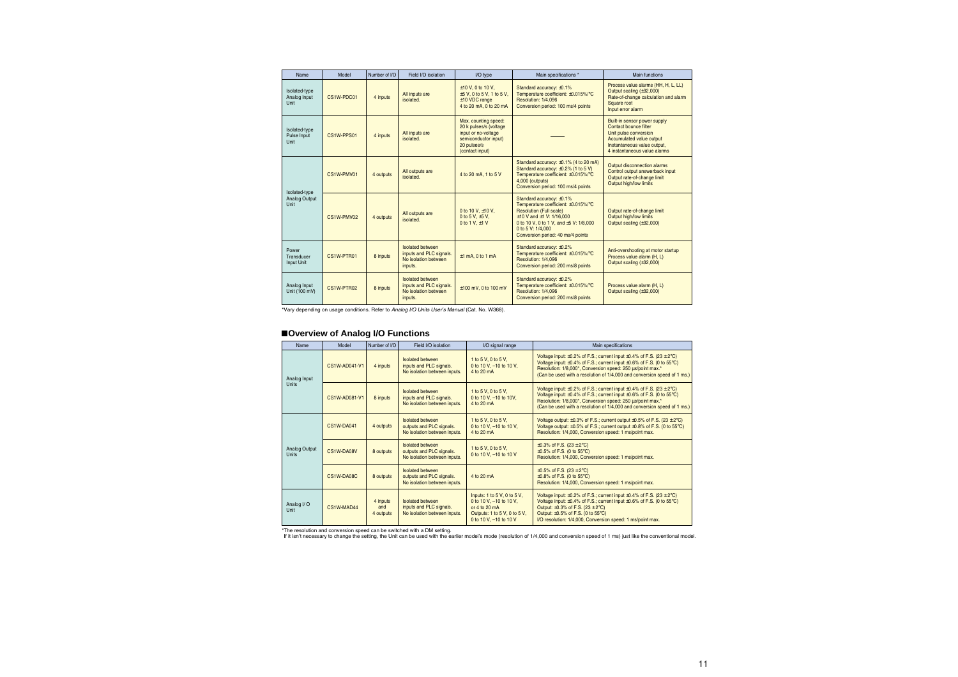| Name                                                                                                                                                 | Model                                                 | Number of I/O      | Field I/O isolation                                                                                                             | I/O type                                                                                                                     | Main specifications *                                                                                                                                                                                                                 | Main functions                                                                                                                 |
|------------------------------------------------------------------------------------------------------------------------------------------------------|-------------------------------------------------------|--------------------|---------------------------------------------------------------------------------------------------------------------------------|------------------------------------------------------------------------------------------------------------------------------|---------------------------------------------------------------------------------------------------------------------------------------------------------------------------------------------------------------------------------------|--------------------------------------------------------------------------------------------------------------------------------|
| Isolated-type<br>Analog Input<br>Unit                                                                                                                | All inputs are<br>CS1W-PDC01<br>4 inputs<br>isolated. |                    | $±10$ V, 0 to 10 V,<br>$±5$ V, 0 to 5 V, 1 to 5 V,<br>±10 VDC range<br>4 to 20 mA, 0 to 20 mA                                   | Standard accuracy: ±0.1%<br>Temperature coefficient: ±0.015%/°C<br>Resolution: 1/4.096<br>Conversion period: 100 ms/4 points | Process value alarms (HH, H, L, LL)<br>Output scaling (±32,000)<br>Rate-of-change calculation and alarm<br>Square root<br>Input error alarm                                                                                           |                                                                                                                                |
| Isolated-type<br>CS1W-PPS01<br>Pulse Input<br>4 inputs<br>isolated.<br>Unit                                                                          |                                                       | All inputs are     | Max. counting speed:<br>20 k pulses/s (voltage<br>input or no-voltage<br>semiconductor input)<br>20 pulses/s<br>(contact input) |                                                                                                                              | Built-in sensor power supply<br>Contact bounce filter<br>Unit pulse conversion<br>Accumulated value output<br>Instantaneous value output,<br>4 instantaneous value alarms                                                             |                                                                                                                                |
| Isolated-type<br>Analog Output<br>Unit                                                                                                               | CS1W-PMV01                                            | 4 outputs          | All outputs are<br>isolated.                                                                                                    | 4 to 20 mA, 1 to 5 V                                                                                                         | Standard accuracy: ±0.1% (4 to 20 mA)<br>Standard accuracy: $\pm 0.2\%$ (1 to 5 V)<br>Temperature coefficient: ±0.015%/°C<br>4,000 (outputs)<br>Conversion period: 100 ms/4 points                                                    | Output disconnection alarms<br>Control output answerback input<br>Output rate-of-change limit<br><b>Output high/low limits</b> |
|                                                                                                                                                      | CS1W-PMV02                                            | 4 outputs          | All outputs are<br>isolated.                                                                                                    | 0 to 10 V, $\pm$ 10 V,<br>0 to 5 V, $\pm$ 5 V,<br>0 to 1 V, $±1$ V                                                           | Standard accuracy: ±0.1%<br>Temperature coefficient: ±0.015%/°C<br><b>Resolution (Full scale)</b><br>$±10$ V and $±1$ V: 1/16.000<br>0 to 10 V, 0 to 1 V, and ±5 V: 1/8,000<br>0 to 5 V: 1/4,000<br>Conversion period: 40 ms/4 points | Output rate-of-change limit<br>Output high/low limits<br>Output scaling (±32,000)                                              |
| <b>Isolated between</b><br>Power<br>inputs and PLC signals.<br>CS1W-PTR01<br>8 inputs<br>Transducer<br>No isolation between<br>Input Unit<br>inputs. |                                                       | $±1$ mA, 0 to 1 mA | Standard accuracy: ±0.2%<br>Temperature coefficient: ±0.015%/°C<br>Resolution: 1/4.096<br>Conversion period: 200 ms/8 points    | Anti-overshooting at motor startup<br>Process value alarm (H, L)<br>Output scaling (±32,000)                                 |                                                                                                                                                                                                                                       |                                                                                                                                |
| Analog Input<br>Unit (100 mV)                                                                                                                        | CS1W-PTR02                                            | 8 inputs           | Isolated between<br>inputs and PLC signals.<br>No isolation between<br>inputs.                                                  | $±100$ mV, 0 to 100 mV                                                                                                       | Standard accuracy: ±0.2%<br>Temperature coefficient: ±0.015%/°C<br>Resolution: 1/4,096<br>Conversion period: 200 ms/8 points                                                                                                          | Process value alarm (H, L)<br>Output scaling (±32,000)                                                                         |

\*Vary depending on usage conditions. Refer to Analog I/O Units User's Manual (Cat. No. W368).

#### **Overview of Analog I/O Functions**

| Name                          | Model             | Number of I/O<br>Field I/O isolation<br>I/O signal range |                                                                                     |                                                                                                                                       | Main specifications                                                                                                                                                                                                                                                                                                                               |
|-------------------------------|-------------------|----------------------------------------------------------|-------------------------------------------------------------------------------------|---------------------------------------------------------------------------------------------------------------------------------------|---------------------------------------------------------------------------------------------------------------------------------------------------------------------------------------------------------------------------------------------------------------------------------------------------------------------------------------------------|
| Analog Input<br><b>Units</b>  | CS1W-AD041-V1     | 4 inputs                                                 | <b>Isolated between</b><br>inputs and PLC signals.<br>No isolation between inputs.  | 1 to 5 V, 0 to 5 V,<br>0 to 10 V, -10 to 10 V,<br>4 to 20 mA                                                                          | Voltage input: $\pm 0.2\%$ of F.S.; current input $\pm 0.4\%$ of F.S. (23 $\pm 2\degree C$ )<br>Voltage input: $\pm 0.4\%$ of F.S.; current input $\pm 0.6\%$ of F.S. (0 to 55°C)<br>Resolution: 1/8,000*, Conversion speed: 250 µs/point max.*<br>(Can be used with a resolution of 1/4,000 and conversion speed of 1 ms.)                       |
|                               | CS1W-AD081-V1     | 8 inputs                                                 | Isolated between<br>inputs and PLC signals.<br>No isolation between inputs.         | 1 to 5 V, 0 to 5 V,<br>0 to 10 V, -10 to 10V,<br>4 to 20 mA                                                                           | Voltage input: $\pm 0.2\%$ of F.S.; current input $\pm 0.4\%$ of F.S. (23 $\pm$ 2°C)<br>Voltage input: $\pm 0.4\%$ of F.S.; current input $\pm 0.6\%$ of F.S. (0 to 55°C)<br>Resolution: 1/8,000*, Conversion speed: 250 µs/point max.*<br>(Can be used with a resolution of 1/4,000 and conversion speed of 1 ms.)                               |
|                               | <b>CS1W-DA041</b> | 4 outputs                                                | Isolated between<br>outputs and PLC signals.<br>No isolation between inputs.        | 1 to 5 V, 0 to 5 V,<br>0 to 10 V, -10 to 10 V,<br>4 to 20 mA                                                                          | Voltage output: $\pm 0.3\%$ of F.S.; current output $\pm 0.5\%$ of F.S. (23 $\pm$ 2°C)<br>Voltage output: $\pm 0.5\%$ of F.S.; current output $\pm 0.8\%$ of F.S. (0 to 55°C)<br>Resolution: 1/4,000, Conversion speed: 1 ms/point max.                                                                                                           |
| Analog Output<br><b>Units</b> | CS1W-DA08V        | 8 outputs                                                | <b>Isolated between</b><br>outputs and PLC signals.<br>No isolation between inputs. | 1 to 5 V, 0 to 5 V,<br>0 to 10 V, -10 to 10 V                                                                                         | $\pm 0.3\%$ of F.S. (23 $\pm$ 2°C)<br>$\pm 0.5\%$ of F.S. (0 to 55°C)<br>Resolution: 1/4,000, Conversion speed: 1 ms/point max.                                                                                                                                                                                                                   |
|                               | CS1W-DA08C        | 8 outputs                                                | Isolated between<br>outputs and PLC signals.<br>No isolation between inputs.        | 4 to 20 mA                                                                                                                            | $\pm 0.5\%$ of F.S. (23 $\pm$ 2°C)<br>$\pm 0.8\%$ of F.S. (0 to 55°C)<br>Resolution: 1/4,000, Conversion speed: 1 ms/point max.                                                                                                                                                                                                                   |
| Analog I/O<br>Unit            | CS1W-MAD44        | 4 inputs<br>and<br>4 outputs                             | Isolated between<br>inputs and PLC signals.<br>No isolation between inputs.         | Inputs: 1 to 5 V, 0 to 5 V,<br>0 to 10 V, $-10$ to 10 V.<br>or 4 to 20 $mA$<br>Outputs: 1 to 5 V, 0 to 5 V,<br>0 to 10 V, -10 to 10 V | Voltage input: $\pm 0.2\%$ of F.S.; current input $\pm 0.4\%$ of F.S. (23 $\pm 2\degree$ C)<br>Voltage input: $\pm 0.4\%$ of F.S.; current input $\pm 0.6\%$ of F.S. (0 to 55°C)<br>Output: $\pm 0.3\%$ of F.S. (23 $\pm$ 2°C)<br>Output: $\pm 0.5\%$ of F.S. (0 to 55 $\degree$ C)<br>I/O resolution: 1/4,000, Conversion speed: 1 ms/point max. |

\*The resolution and conversion speed can be switched with a DM setting.<br>If it isn't necessary to change the setting, the Unit can be used with the earlier model's mode (resolution of 1/4,000 and conversion speed of 1 ms) j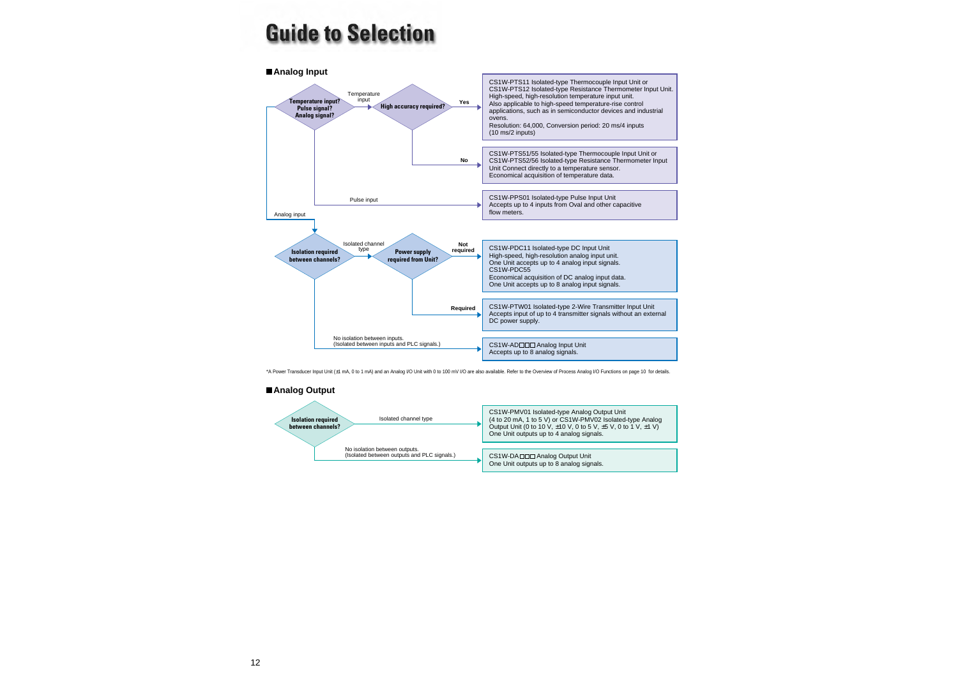# **Guide to Selection**



\*A Power Transducer Input Unit (±1 mA, 0 to 1 mA) and an Analog I/O Unit with 0 to 100 mV I/O are also available. Refer to the Overview of Process Analog I/O Functions on page 10 for details.

#### **Analog Output**

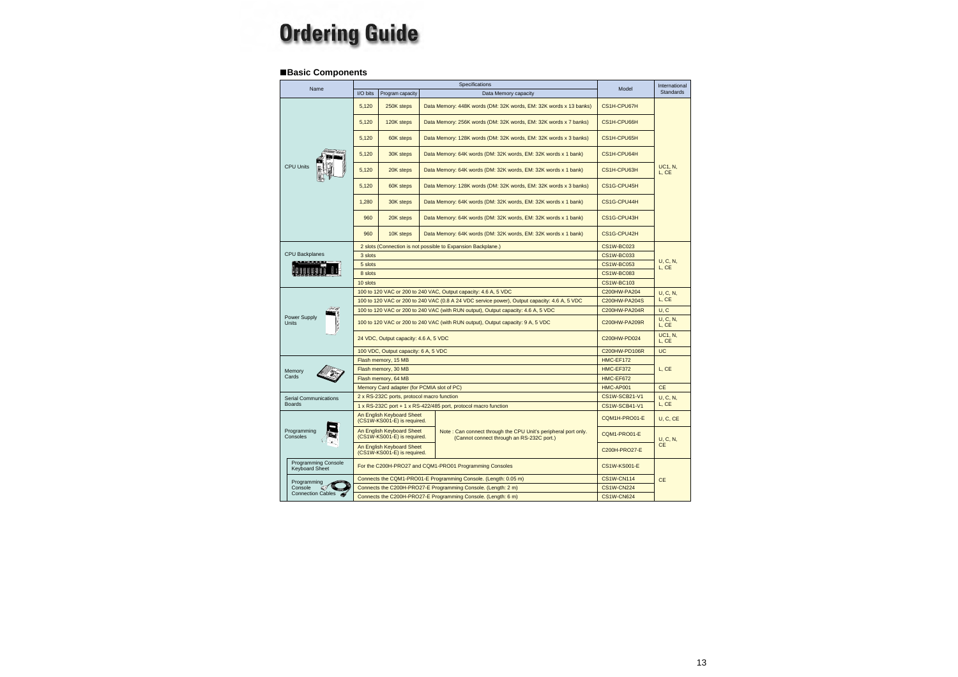# **Ordering Guide**

#### **Basic Components**

| Name                                                | Specifications                                                                               |                                                          | Model                                                           | International                                                                                               |                     |                         |
|-----------------------------------------------------|----------------------------------------------------------------------------------------------|----------------------------------------------------------|-----------------------------------------------------------------|-------------------------------------------------------------------------------------------------------------|---------------------|-------------------------|
|                                                     | I/O bits                                                                                     | Program capacity                                         |                                                                 | Data Memory capacity                                                                                        |                     | <b>Standards</b>        |
|                                                     | 5,120                                                                                        | 250K steps                                               |                                                                 | Data Memory: 448K words (DM: 32K words, EM: 32K words x 13 banks)                                           | CS1H-CPU67H         |                         |
|                                                     | 5,120                                                                                        | 120K steps                                               |                                                                 | Data Memory: 256K words (DM: 32K words, EM: 32K words x 7 banks)                                            | CS1H-CPU66H         |                         |
|                                                     | 5,120                                                                                        | 60K steps                                                |                                                                 | Data Memory: 128K words (DM: 32K words, EM: 32K words x 3 banks)                                            | CS1H-CPU65H         |                         |
|                                                     | 5,120                                                                                        | 30K steps                                                |                                                                 | Data Memory: 64K words (DM: 32K words, EM: 32K words x 1 bank)                                              | CS1H-CPU64H         |                         |
| <b>CPU Units</b>                                    | 5,120                                                                                        | 20K steps                                                |                                                                 | Data Memory: 64K words (DM: 32K words, EM: 32K words x 1 bank)                                              | CS1H-CPU63H         | <b>UC1. N.</b><br>L, CE |
|                                                     | 5,120                                                                                        | 60K steps                                                |                                                                 | Data Memory: 128K words (DM: 32K words, EM: 32K words x 3 banks)                                            | CS1G-CPU45H         |                         |
|                                                     | 1,280                                                                                        | 30K steps                                                |                                                                 | Data Memory: 64K words (DM: 32K words, EM: 32K words x 1 bank)                                              | CS1G-CPU44H         |                         |
|                                                     | 960                                                                                          | 20K steps                                                |                                                                 | Data Memory: 64K words (DM: 32K words, EM: 32K words x 1 bank)                                              | CS1G-CPU43H         |                         |
|                                                     | 960                                                                                          | 10K steps                                                |                                                                 | Data Memory: 64K words (DM: 32K words, EM: 32K words x 1 bank)                                              | CS1G-CPU42H         |                         |
|                                                     |                                                                                              |                                                          | 2 slots (Connection is not possible to Expansion Backplane.)    |                                                                                                             | <b>CS1W-BC023</b>   |                         |
| <b>CPU Backplanes</b>                               | 3 slots                                                                                      |                                                          |                                                                 | <b>CS1W-BC033</b>                                                                                           | U, C, N,<br>L, CE   |                         |
|                                                     | 5 slots                                                                                      |                                                          |                                                                 | <b>CS1W-BC053</b>                                                                                           |                     |                         |
|                                                     | 8 slots                                                                                      |                                                          |                                                                 | <b>CS1W-BC083</b>                                                                                           |                     |                         |
|                                                     | 10 slots                                                                                     |                                                          |                                                                 | <b>CS1W-BC103</b>                                                                                           |                     |                         |
|                                                     | 100 to 120 VAC or 200 to 240 VAC, Output capacity: 4.6 A, 5 VDC                              |                                                          |                                                                 | C200HW-PA204                                                                                                | <b>U</b> , C, N,    |                         |
|                                                     | 100 to 120 VAC or 200 to 240 VAC (0.8 A 24 VDC service power), Output capacity: 4.6 A, 5 VDC |                                                          |                                                                 |                                                                                                             | C200HW-PA204S       | L, CE                   |
|                                                     | 100 to 120 VAC or 200 to 240 VAC (with RUN output), Output capacity: 4.6 A, 5 VDC            |                                                          |                                                                 |                                                                                                             | C200HW-PA204R       | U, C                    |
| Power Supply<br>Units                               | 100 to 120 VAC or 200 to 240 VAC (with RUN output), Output capacity: 9 A, 5 VDC              |                                                          |                                                                 |                                                                                                             | C200HW-PA209R       | U, C, N,<br>L, CE       |
|                                                     | 24 VDC, Output capacity: 4.6 A, 5 VDC                                                        |                                                          |                                                                 |                                                                                                             | C200HW-PD024        | UC1, N,<br>L, CE        |
|                                                     | 100 VDC, Output capacity: 6 A, 5 VDC                                                         |                                                          |                                                                 | C200HW-PD106R                                                                                               | <b>UC</b>           |                         |
|                                                     | Flash memory, 15 MB                                                                          |                                                          |                                                                 | HMC-EF172                                                                                                   |                     |                         |
| Memory                                              |                                                                                              | Flash memory, 30 MB                                      |                                                                 |                                                                                                             | HMC-EF372           | L, CE                   |
| Cards                                               | Flash memory, 64 MB                                                                          |                                                          |                                                                 | HMC-EF672                                                                                                   |                     |                         |
|                                                     | Memory Card adapter (for PCMIA slot of PC)                                                   |                                                          |                                                                 | HMC-AP001                                                                                                   | <b>CE</b>           |                         |
| <b>Serial Communications</b><br><b>Boards</b>       |                                                                                              | 2 x RS-232C ports, protocol macro function               |                                                                 |                                                                                                             | CS1W-SCB21-V1       | U, C, N,                |
|                                                     |                                                                                              |                                                          | 1 x RS-232C port + 1 x RS-422/485 port, protocol macro function |                                                                                                             | CS1W-SCB41-V1       | L, CE                   |
|                                                     |                                                                                              | An English Keyboard Sheet<br>(CS1W-KS001-E) is required. |                                                                 |                                                                                                             | CQM1H-PRO01-E       | U, C, CE                |
| Programming<br>Consoles<br>$O_{\leq C}$             |                                                                                              | An English Keyboard Sheet<br>(CS1W-KS001-E) is required. |                                                                 | Note: Can connect through the CPU Unit's peripheral port only.<br>(Cannot connect through an RS-232C port.) |                     | U, C, N,                |
|                                                     |                                                                                              | An English Keyboard Sheet<br>(CS1W-KS001-E) is required. |                                                                 |                                                                                                             | C200H-PRO27-E       | <b>CE</b>               |
| <b>Programming Console</b><br><b>Keyboard Sheet</b> |                                                                                              |                                                          | For the C200H-PRO27 and CQM1-PRO01 Programming Consoles         |                                                                                                             | <b>CS1W-KS001-E</b> |                         |
| Programming                                         |                                                                                              |                                                          | Connects the CQM1-PRO01-E Programming Console. (Length: 0.05 m) |                                                                                                             | <b>CS1W-CN114</b>   | <b>CE</b>               |
| Console                                             |                                                                                              |                                                          | Connects the C200H-PRO27-E Programming Console. (Length: 2 m)   |                                                                                                             | <b>CS1W-CN224</b>   |                         |
| <b>Connection Cables</b>                            |                                                                                              |                                                          | Connects the C200H-PRO27-E Programming Console. (Length: 6 m)   |                                                                                                             | <b>CS1W-CN624</b>   |                         |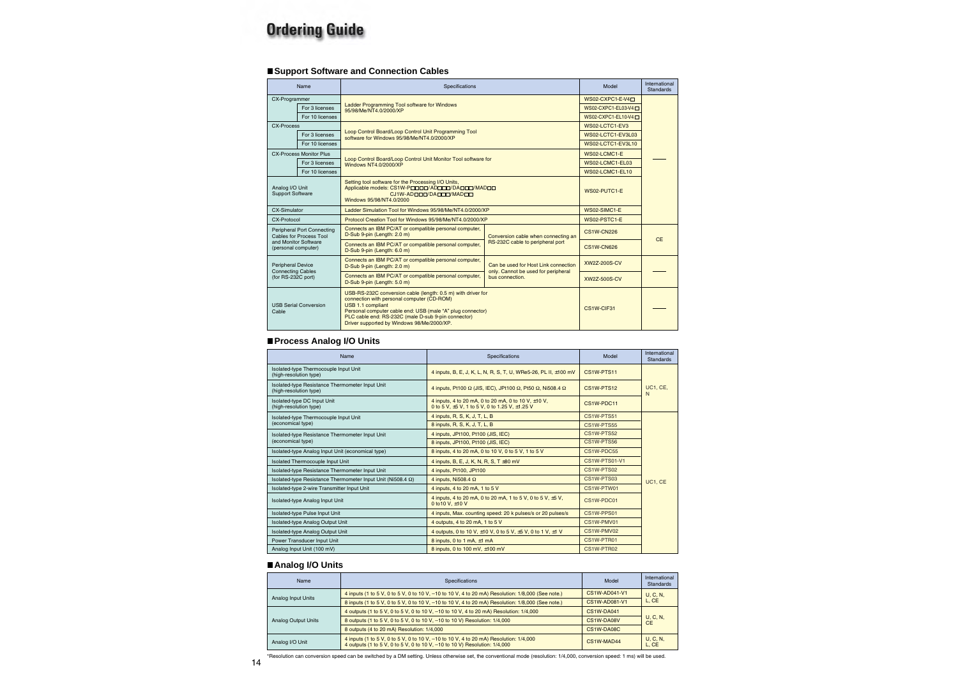## **Ordering Guide**

#### **Support Software and Connection Cables**

| Name                                                                       |                                                       | Specifications                                                                                                                                                                                                                                                                                            |                                                                             | Model                | International<br><b>Standards</b> |
|----------------------------------------------------------------------------|-------------------------------------------------------|-----------------------------------------------------------------------------------------------------------------------------------------------------------------------------------------------------------------------------------------------------------------------------------------------------------|-----------------------------------------------------------------------------|----------------------|-----------------------------------|
| <b>CX-Programmer</b>                                                       |                                                       |                                                                                                                                                                                                                                                                                                           | WS02-CXPC1-E-V4D                                                            |                      |                                   |
|                                                                            | For 3 licenses                                        | Ladder Programming Tool software for Windows<br>95/98/Me/NT4.0/2000/XP                                                                                                                                                                                                                                    |                                                                             | WS02-CXPC1-EL03-V4□  |                                   |
|                                                                            | For 10 licenses                                       |                                                                                                                                                                                                                                                                                                           |                                                                             | WS02-CXPC1-EL10-V4 □ |                                   |
| <b>CX-Process</b>                                                          |                                                       |                                                                                                                                                                                                                                                                                                           |                                                                             | WS02-LCTC1-EV3       |                                   |
|                                                                            | For 3 licenses                                        | Loop Control Board/Loop Control Unit Programming Tool<br>software for Windows 95/98/Me/NT4.0/2000/XP                                                                                                                                                                                                      |                                                                             | WS02-LCTC1-EV3L03    |                                   |
|                                                                            | For 10 licenses                                       |                                                                                                                                                                                                                                                                                                           |                                                                             | WS02-LCTC1-EV3L10    |                                   |
|                                                                            | <b>CX-Process Monitor Plus</b>                        |                                                                                                                                                                                                                                                                                                           |                                                                             | WS02-LCMC1-E         |                                   |
|                                                                            | For 3 licenses                                        | Loop Control Board/Loop Control Unit Monitor Tool software for<br>Windows NT4.0/2000/XP                                                                                                                                                                                                                   |                                                                             | WS02-LCMC1-EL03      |                                   |
|                                                                            | For 10 licenses                                       |                                                                                                                                                                                                                                                                                                           |                                                                             | WS02-LCMC1-EL10      |                                   |
| Analog I/O Unit<br><b>Support Software</b>                                 |                                                       | Setting tool software for the Processing I/O Units,<br>Applicable models: CS1W-POOOO/ADOOO/DAOOO/MADOO<br>CJ1W-ADDDD/DADDD/MADDD<br>Windows 95/98/NT4.0/2000                                                                                                                                              |                                                                             | WS02-PUTC1-E         |                                   |
| CX-Simulator                                                               |                                                       | Ladder Simulation Tool for Windows 95/98/Me/NT4.0/2000/XP                                                                                                                                                                                                                                                 | WS02-SIMC1-E                                                                |                      |                                   |
| <b>CX-Protocol</b>                                                         |                                                       | Protocol Creation Tool for Windows 95/98/Me/NT4.0/2000/XP                                                                                                                                                                                                                                                 | WS02-PSTC1-E                                                                |                      |                                   |
|                                                                            | Peripheral Port Connecting<br>Cables for Process Tool | Connects an IBM PC/AT or compatible personal computer,<br>D-Sub 9-pin (Length: 2.0 m)                                                                                                                                                                                                                     | Conversion cable when connecting an                                         | <b>CS1W-CN226</b>    | <b>CE</b>                         |
| (personal computer)                                                        | and Monitor Software                                  | Connects an IBM PC/AT or compatible personal computer,<br>D-Sub 9-pin (Length: 6.0 m)                                                                                                                                                                                                                     | RS-232C cable to peripheral port                                            | <b>CS1W-CN626</b>    |                                   |
| <b>Peripheral Device</b><br><b>Connecting Cables</b><br>(for RS-232C port) |                                                       | Connects an IBM PC/AT or compatible personal computer,<br>D-Sub 9-pin (Length: 2.0 m)                                                                                                                                                                                                                     | Can be used for Host Link connection<br>only. Cannot be used for peripheral | <b>XW2Z-200S-CV</b>  |                                   |
|                                                                            |                                                       | Connects an IBM PC/AT or compatible personal computer,<br>D-Sub 9-pin (Length: 5.0 m)                                                                                                                                                                                                                     | bus connection.                                                             | XW2Z-500S-CV         |                                   |
| <b>USB Serial Conversion</b><br>Cable                                      |                                                       | USB-RS-232C conversion cable (length: 0.5 m) with driver for<br>connection with personal computer (CD-ROM)<br><b>USB 1.1 compliant</b><br>Personal computer cable end: USB (male "A" plug connector)<br>PLC cable end: RS-232C (male D-sub 9-pin connector)<br>Driver supported by Windows 98/Me/2000/XP. |                                                                             | CS1W-CIF31           |                                   |

#### **Process Analog I/O Units**

| Name                                                                      | Specifications                                                                                             | Model         | International<br>Standards |  |
|---------------------------------------------------------------------------|------------------------------------------------------------------------------------------------------------|---------------|----------------------------|--|
| Isolated-type Thermocouple Input Unit<br>(high-resolution type)           | 4 inputs, B, E, J, K, L, N, R, S, T, U, WRe5-26, PL II, ±100 mV                                            | CS1W-PTS11    |                            |  |
| Isolated-type Resistance Thermometer Input Unit<br>(high-resolution type) | 4 inputs, Pt100 $\Omega$ (JIS, IEC), JPt100 $\Omega$ , Pt50 $\Omega$ , Ni508.4 $\Omega$                    | CS1W-PTS12    | <b>UC1, CE,</b><br>N       |  |
| Isolated-type DC Input Unit<br>(high-resolution type)                     | 4 inputs, 4 to 20 mA, 0 to 20 mA, 0 to 10 V, $\pm$ 10 V,<br>0 to 5 V, ±5 V, 1 to 5 V, 0 to 1.25 V, ±1.25 V | CS1W-PDC11    |                            |  |
| Isolated-type Thermocouple Input Unit                                     | 4 inputs, R, S, K, J, T, L, B                                                                              | CS1W-PTS51    |                            |  |
| (economical type)                                                         | 8 inputs, R, S, K, J, T, L, B                                                                              | CS1W-PTS55    |                            |  |
| Isolated-type Resistance Thermometer Input Unit                           | 4 inputs, JPt100, Pt100 (JIS, IEC)                                                                         | CS1W-PTS52    |                            |  |
| (economical type)                                                         | 8 inputs, JPt100, Pt100 (JIS, IEC)                                                                         | CS1W-PTS56    |                            |  |
| Isolated-type Analog Input Unit (economical type)                         | 8 inputs, 4 to 20 mA, 0 to 10 V, 0 to 5 V, 1 to 5 V                                                        | CS1W-PDC55    |                            |  |
| Isolated Thermocouple Input Unit                                          | 4 inputs, B, E, J, K, N, R, S, T $\pm 80$ mV                                                               | CS1W-PTS01-V1 |                            |  |
| Isolated-type Resistance Thermometer Input Unit                           | 4 inputs, Pt100, JPt100                                                                                    | CS1W-PTS02    |                            |  |
| Isolated-type Resistance Thermometer Input Unit (Ni508.4 Ω)               | 4 inputs, Ni508.4 $\Omega$                                                                                 | CS1W-PTS03    | UC1, CE                    |  |
| Isolated-type 2-wire Transmitter Input Unit                               | 4 inputs, 4 to 20 mA, 1 to 5 V                                                                             | CS1W-PTW01    |                            |  |
| Isolated-type Analog Input Unit                                           | 4 inputs, 4 to 20 mA, 0 to 20 mA, 1 to 5 V, 0 to 5 V, $\pm$ 5 V,<br>0 to 10 V, $\pm$ 10 V                  | CS1W-PDC01    |                            |  |
| Isolated-type Pulse Input Unit                                            | 4 inputs, Max. counting speed: 20 k pulses/s or 20 pulses/s                                                | CS1W-PPS01    |                            |  |
| Isolated-type Analog Output Unit                                          | 4 outputs, 4 to 20 mA, 1 to 5 V                                                                            | CS1W-PMV01    |                            |  |
| Isolated-type Analog Output Unit                                          | 4 outputs, 0 to 10 V, $\pm$ 10 V, 0 to 5 V, $\pm$ 5 V, 0 to 1 V, $\pm$ 1 V                                 | CS1W-PMV02    |                            |  |
| Power Transducer Input Unit                                               | 8 inputs, 0 to 1 mA, $\pm$ 1 mA                                                                            | CS1W-PTR01    |                            |  |
| Analog Input Unit (100 mV)                                                | 8 inputs, 0 to 100 mV, ±100 mV                                                                             | CS1W-PTR02    |                            |  |

#### **Analog I/O Units**

| Name                       | <b>Specifications</b>                                                                                                                                               | Model         | International<br><b>Standards</b> |
|----------------------------|---------------------------------------------------------------------------------------------------------------------------------------------------------------------|---------------|-----------------------------------|
|                            | 4 inputs (1 to 5 V, 0 to 5 V, 0 to 10 V, -10 to 10 V, 4 to 20 mA) Resolution: 1/8,000 (See note.)                                                                   | CS1W-AD041-V1 | <b>U.C.N.</b>                     |
| Analog Input Units         | 8 inputs (1 to 5 V, 0 to 5 V, 0 to 10 V, -10 to 10 V, 4 to 20 mA) Resolution: 1/8,000 (See note.)                                                                   | CS1W-AD081-V1 | L, CE                             |
|                            | 4 outputs (1 to 5 V, 0 to 5 V, 0 to 10 V, -10 to 10 V, 4 to 20 mA) Resolution: 1/4,000                                                                              | CS1W-DA041    |                                   |
| <b>Analog Output Units</b> | 8 outputs (1 to 5 V, 0 to 5 V, 0 to 10 V, -10 to 10 V) Resolution: 1/4,000                                                                                          | CS1W-DA08V    | U, C, N,<br><b>CE</b>             |
|                            | 8 outputs (4 to 20 mA) Resolution: 1/4,000                                                                                                                          | CS1W-DA08C    |                                   |
| Analog I/O Unit            | 4 inputs (1 to 5 V, 0 to 5 V, 0 to 10 V, -10 to 10 V, 4 to 20 mA) Resolution: 1/4,000<br>4 outputs (1 to 5 V, 0 to 5 V, 0 to 10 V, -10 to 10 V) Resolution: 1/4,000 | CS1W-MAD44    | <b>U.C.N.</b><br>L. CE            |

\*Resolution can conversion speed can be switched by a DM setting. Unless otherwise set, the conventional mode (resolution: 1/4,000, conversion speed: 1 ms) will be used.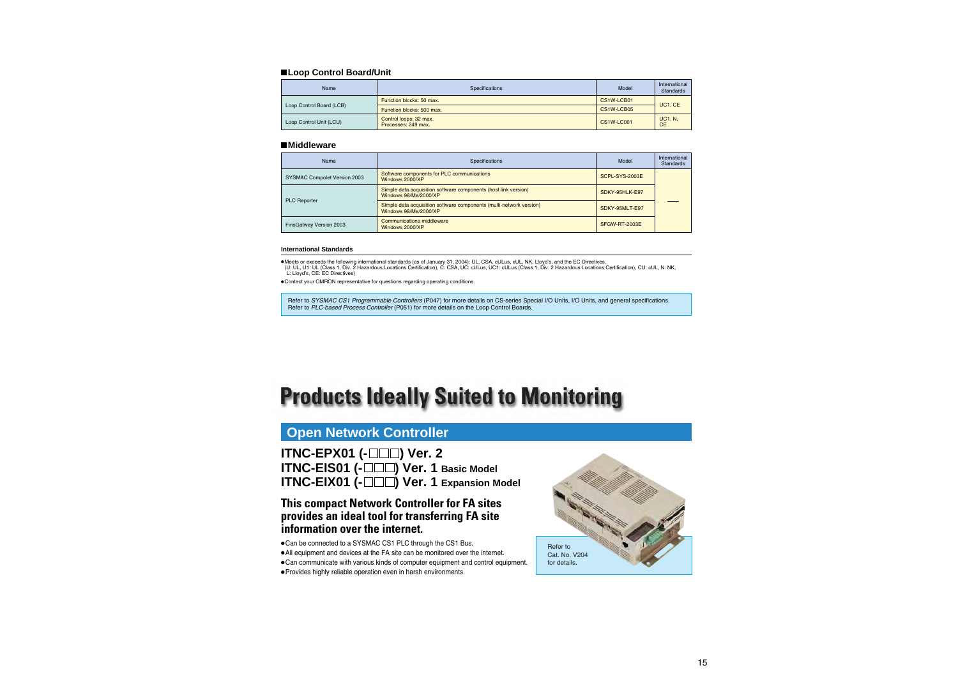#### **Loop Control Board/Unit**

| Name                     | Specifications                                | Model      | International<br><b>Standards</b> |  |
|--------------------------|-----------------------------------------------|------------|-----------------------------------|--|
|                          | Function blocks: 50 max.                      | CS1W-LCB01 |                                   |  |
| Loop Control Board (LCB) | Function blocks: 500 max.                     | CS1W-LCB05 | UC1, CE                           |  |
| Loop Control Unit (LCU)  | Control loops: 32 max.<br>Processes: 249 max. | CS1W-LC001 | <b>UC1, N.</b><br><b>CE</b>       |  |

#### **Middleware**

| Name                         | <b>Specifications</b>                                                                        | Model          | International<br><b>Standards</b> |
|------------------------------|----------------------------------------------------------------------------------------------|----------------|-----------------------------------|
| SYSMAC Compolet Version 2003 | Software components for PLC communications<br>Windows 2000/XP                                | SCPL-SYS-2003E |                                   |
|                              | Simple data acquisition software components (host link version)<br>Windows 98/Me/2000/XP     | SDKY-95HLK-E97 |                                   |
| <b>PLC Reporter</b>          | Simple data acquisition software components (multi-network version)<br>Windows 98/Me/2000/XP | SDKY-95MLT-E97 |                                   |
| FinsGatway Version 2003      | <b>Communications middleware</b><br>Windows 2000/XP                                          | SFGW-RT-2003E  |                                   |

#### **International Standards**

Meets or exceeds the following international standards (as of January 31, 2004): UL, CSA, cULus, cUL, NK, Lloyd's, and the EC Directives. (U: UL, U1: UL (Class 1, Div. 2 Hazardous Locations Certification), C: CSA, UC: cULus, UC1: cULus (Class 1, Div. 2 Hazardous Locations Certification), CU: cUL, N: NK, L: Lloyd's, CE: EC Directives)

Contact your OMRON representative for questions regarding operating conditions.

Refer to SYSMAC CS1 Programmable Controllers (P047) for more details on CS-series Special I/O Units, I/O Units, and general specifications. Refer to PLC-based Process Controller (P051) for more details on the Loop Control Boards.

# **Products Ideally Suited to Monitoring**

### **Open Network Controller**

**ITNC-EPX01 (-** $\Box$ **) Ver. 2 ITNC-EIS01 (- IIII)** Ver. 1 Basic Model **ITNC-EIX01 (-OOO) Ver. 1 Expansion Model** 

### **This compact Network Controller for FA sites provides an ideal tool for transferring FA site information over the internet.**

- Can be connected to a SYSMAC CS1 PLC through the CS1 Bus.
- All equipment and devices at the FA site can be monitored over the internet.
- Can communicate with various kinds of computer equipment and control equipment.
- Provides highly reliable operation even in harsh environments.